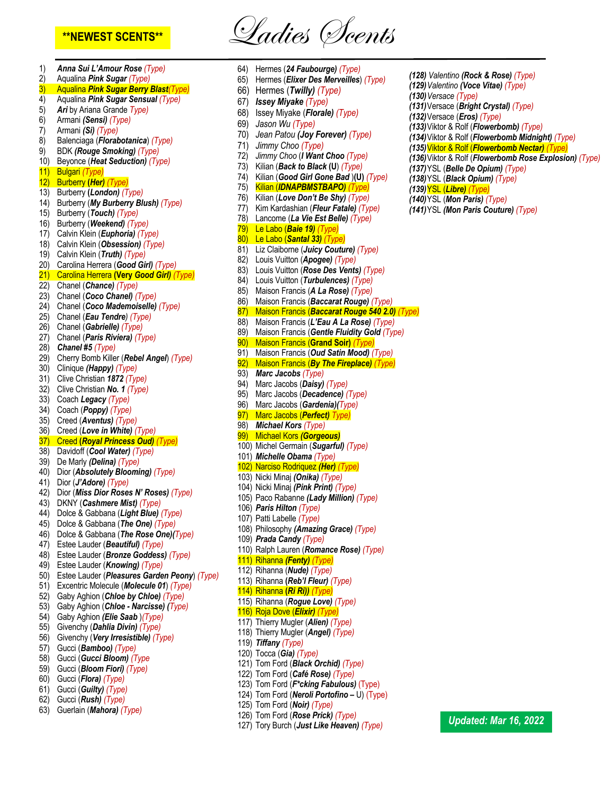**\*\*NEWEST SCENTS\*\*** Ladies Scents

1) *Anna Sui L'Amour Rose (Type)* 2) Aqualina *Pink Sugar (Type)* 3) Aqualina *Pink Sugar Berry Blast(Type)* 4) Aqualina *Pink Sugar Sensual (Type)* 5) *Ari* by Ariana Grande *Type)* 6) Armani *(Sensi) (Type)* 7) Armani *(Si) (Type)* 8) Balenciaga (*Florabotanica*) *(Type)* 9) BDK *(Rouge Smoking) (Type)* 10) Beyonce (*Heat Seduction) (Type)* 11) Bulgari *(Type)* 12) Burberry **(***Her) (Type)* 13) Burberry **(***London) (Type)* 14) Burberry (*My Burberry Blush) (Type)* 15) Burberry (*Touch) (Type)* 16) Burberry (*Weekend) (Type)* 17) Calvin Klein (*Euphoria) (Type)* 18) Calvin Klein (*Obsession) (Type)* 19) Calvin Klein (*Truth) (Type)* 20) Carolina Herrera (*Good Girl) (Type)* 21) Carolina Herrera **(Very** *Good Girl) (Type)* 22) Chanel (*Chance) (Type)* 23) Chanel (*Coco Chanel) (Type)* 24) Chanel (*Coco Mademoiselle) (Type)* 25) Chanel (*Eau Tendre) (Type)* 26) Chanel (*Gabrielle) (Type)* 27) Chanel (*Paris Riviera) (Type)* 28) *Chanel #5 (Type)* 29) Cherry Bomb Killer (*Rebel Angel*) *(Type)* 30) Clinique *(Happy) (Type)* 31) Clive Christian *1872 (Type)* 32) Clive Christian *No. 1 (Type)* 33) Coach *Legacy (Type)* 34) Coach (*Poppy) (Type)* 35) Creed (*Aventus) (Type)* 36) Creed (*Love in White) (Type)* 37) Creed **(***Royal Princess Oud) (Type)* 38) Davidoff (*Cool Water) (Type)* 39) De Marly *(Delina) (Type)* 40) Dior (*Absolutely Blooming) (Type)* 41) Dior (*J'Adore) (Type)* 42) Dior (*Miss Dior Roses N' Roses) (Type)* 43) DKNY (*Cashmere Mist) (Type)* 44) Dolce & Gabbana (*Light Blue) (Type)* 45) Dolce & Gabbana (*The One) (Type)* 46) Dolce & Gabbana (*The Rose One)(Type)* 47) Estee Lauder (*Beautiful) (Type)* 48) Estee Lauder (*Bronze Goddess) (Type)* 49) Estee Lauder (*Knowing) (Type)* 50) Estee Lauder (*Pleasures Garden Peony*) *(Type)* 51) Excentric Molecule (*Molecule 01*) *(Type)* 52) Gaby Aghion (*Chloe by Chloe) (Type)* 53) Gaby Aghion (*Chloe - Narcisse) (Type)* 54) Gaby Aghion *(Elie Saab* )*(Type)* 55) Givenchy (*Dahlia Divin) (Type)* 56) Givenchy (*Very Irresistible) (Type)* 57) Gucci (*Bamboo) (Type)* 58) Gucci (*Gucci Bloom) (Type* 59) Gucci (*Bloom Fiori) (Type)* 60) Gucci (*Flora) (Type)* 61) Gucci (*Guilty) (Type)* 62) Gucci (*Rush) (Type)* 63) Guerlain (*Mahora) (Type)*

64) Hermes (*24 Faubourge) (Type)* 65) Hermes (*Elixer Des Merveilles*) *(Type)* 66) Hermes (*Twilly) (Type)* 67) *Issey Miyake (Type)* 68) Issey Miyake (*Florale) (Type)* 69) *Jason Wu (Type)* 70) *Jean Patou (Joy Forever) (Type)* 71) *Jimmy Choo (Type)* 72) *Jimmy Choo* (*I Want Choo (Type)* 73) Kilian (*Back to Black* **(U**) *(Type)* 74) Kilian (*Good Girl Gone Bad* )**(U)** *(Type)* 75) Kilian (*IDNAPBMSTBAPO) (Type)* 76) Kilian (*Love Don't Be Shy) (Type)* 77) Kim Kardashian (*Fleur Fatale) (Type)* 78) Lancome (*La Vie Est Belle) (Type)* 79) Le Labo (*Baie 19) (Type)* 80) Le Labo (*Santal 33) (Type)* 81) Liz Claiborne (*Juicy Couture) (Type)* 82) Louis Vuitton (*Apogee) (Type)* 83) Louis Vuitton (*Rose Des Vents) (Type)* 84) Louis Vuitton (*Turbulences) (Type)* 85) Maison Francis (*A La Rose) (Type)* 86) Maison Francis (*Baccarat Rouge) (Type)* 87) Maison Francis (*Baccarat Rouge 540 2.0) (Type)* 88) Maison Francis (*L'Eau A La Rose) (Type)* 89) Maison Francis (*Gentle Fluidity Gold (Type)* 90) Maison Francis (**Grand Soir)** *(Type)* 91) Maison Francis (*Oud Satin Mood) (Type)* 92) Maison Francis (*By The Fireplace) (Type)* 93) *Marc Jacobs (Type)* 94) Marc Jacobs (*Daisy) (Type)* 95) Marc Jacobs (*Decadence) (Type)* 96) Marc Jacobs (*Gardenia)(Type)* 97) Marc Jacobs (*Perfect) Type)* 98) *Michael Kors (Type)* 99) Michael Kors *(Gorgeous)*  100) Michel Germain (*Sugarful) (Type)* 101) *Michelle Obama (Type)* 102) Narciso Rodriquez *(Her) (Type)* 103) Nicki Minaj *(Onika) (Type)* 104) Nicki Minaj *(Pink Print) (Type)* 105) Paco Rabanne *(Lady Million) (Type)* 106) *Paris Hilton (Type)* 107) Patti Labelle *(Type)* 108) Philosophy *(Amazing Grace) (Type)* 109) *Prada Candy (Type)* 110) Ralph Lauren (*Romance Rose) (Type)* 111) Rihanna *(Fenty) (Type)* 112) Rihanna (*Nude) (Type)* 113) Rihanna **(***Reb'l Fleur) (Type)* 114) Rihanna **(***Ri Ri)) (Type)* 115) Rihanna (*Rogue Love) (Type)* 116) Roja Dove (*Elixir) (Type)* 117) Thierry Mugler (*Alien) (Type)* 118) Thierry Mugler (*Angel) (Type)* 119) *Tiffany (Type)* 120) Tocca (*Gia) (Type)* 121) Tom Ford (*Black Orchid) (Type)* 122) Tom Ford (*Café Rose) (Type)* 123) Tom Ford (*F\*cking Fabulous)* (Type) 124) Tom Ford (*Neroli Portofino –* U) (Type) 125) Tom Ford (*Noir) (Type)* 126) Tom Ford (*Rose Prick) (Type)* 127) Tory Burch (*Just Like Heaven) (Type)*

*(129)Valentino (Voce Vitae) (Type) (130)Versace (Type) (131)*Versace (*Bright Crystal) (Type) (132)*Versace (*Eros) (Type) (133)*Viktor & Rolf (*Flowerbomb) (Type) (134)*Viktor & Rolf (*Flowerbomb Midnight) (Type) (135)*Viktor & Rolf (*Flowerbomb Nectar) (Type) (136)*Viktor & Rolf (*Flowerbomb Rose Explosion) (Type) (137)*YSL (*Belle De Opium) (Type) (138)*YSL (*Black Opium) (Type) (139)*YSL (*Libre) (Type) (140)*YSL (*Mon Paris) (Type) (141)*YSL *(Mon Paris Couture) (Type)*

*(128) Valentino (Rock & Rose) (Type)*

*Updated: Mar 16, 2022*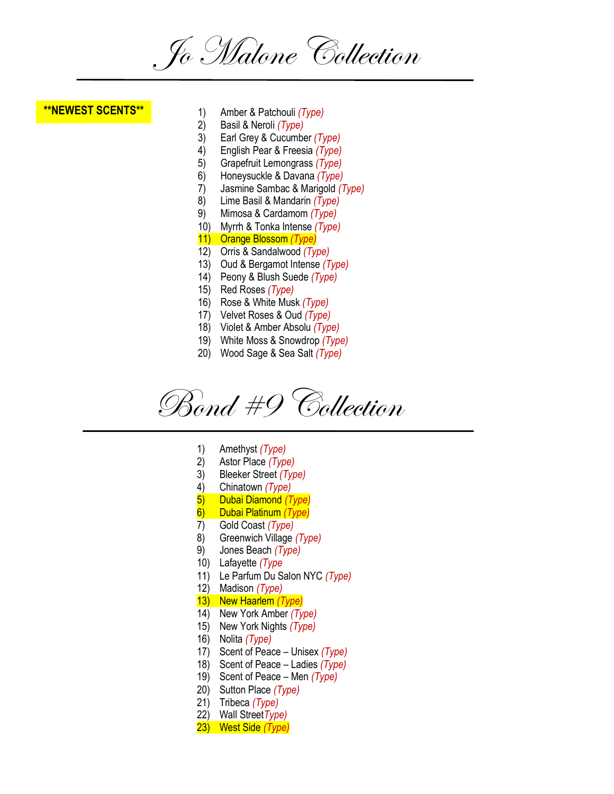Jo Malone Collection

## **\*\*NEWEST SCENTS\*\***

- 1) Amber & Patchouli *(Type)*
- 2) Basil & Neroli *(Type)*
- 3) Earl Grey & Cucumber *(Type)*
- 4) English Pear & Freesia *(Type)*
- 5) Grapefruit Lemongrass *(Type)*
- 6) Honeysuckle & Davana *(Type)*
- 7) Jasmine Sambac & Marigold *(Type)*
- 8) Lime Basil & Mandarin *(Type)*
- 9) Mimosa & Cardamom *(Type)*
- 10) Myrrh & Tonka Intense *(Type)*
- 11) Orange Blossom *(Type)*
- 12) Orris & Sandalwood *(Type)*
- 13) Oud & Bergamot Intense *(Type)*
- 14) Peony & Blush Suede *(Type)*
- 15) Red Roses *(Type)*
- 16) Rose & White Musk *(Type)*
- 17) Velvet Roses & Oud *(Type)*
- 18) Violet & Amber Absolu *(Type)*
- 19) White Moss & Snowdrop *(Type)*
- 20) Wood Sage & Sea Salt *(Type)*

Bond #9 Collection

- 1) Amethyst *(Type)*
- 2) Astor Place *(Type)*
- 3) Bleeker Street *(Type)*
- 4) Chinatown *(Type)*
- 5) Dubai Diamond *(Type)*
- 6) Dubai Platinum *(Type)*
- 7) Gold Coast *(Type)*
- 8) Greenwich Village *(Type)*
- 9) Jones Beach *(Type)*
- 10) Lafayette *(Type*
- 11) Le Parfum Du Salon NYC *(Type)*
- 12) Madison *(Type)*
- 13) New Haarlem *(Type)*
- 14) New York Amber *(Type)*
- 15) New York Nights *(Type)*
- 16) Nolita *(Type)*
- 17) Scent of Peace Unisex *(Type)*
- 18) Scent of Peace Ladies *(Type)*
- 19) Scent of Peace Men *(Type)*
- 20) Sutton Place *(Type)*
- 21) Tribeca *(Type)*
- 22) Wall Street*Type)*
- 23) West Side *(Type)*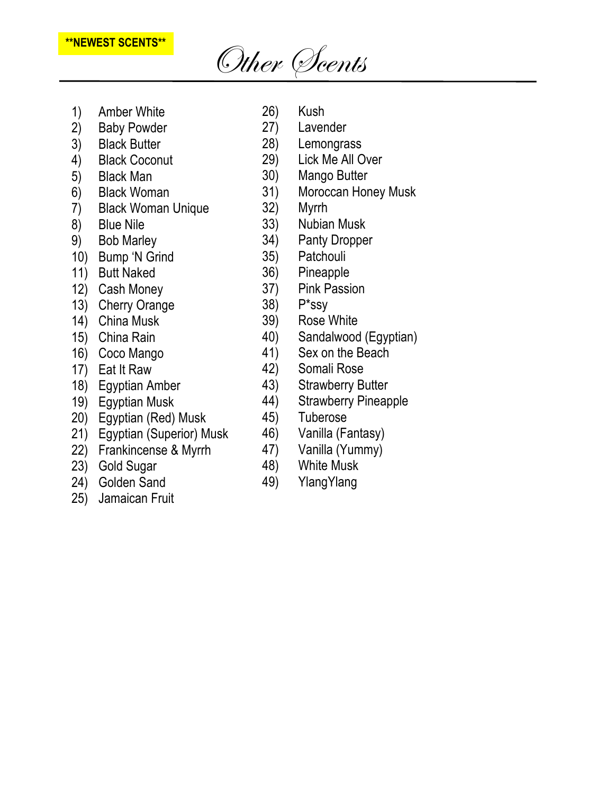## **Andalwood** Other Scents

- 1) Amber White
- 2) Baby Powder
- 3) Black Butter
- 4) Black Coconut
- 5) Black Man
- 6) Black Woman
- 7) Black Woman Unique
- 8) Blue Nile
- 9) Bob Marley
- 10) Bump 'N Grind
- 11) Butt Naked
- 12) Cash Money
- 13) Cherry Orange
- 14) China Musk
- 15) China Rain
- 16) Coco Mango
- 17) Eat It Raw
- 18) Egyptian Amber
- 19) Egyptian Musk
- 20) Egyptian (Red) Musk
- 21) Egyptian (Superior) Musk
- 22) Frankincense & Myrrh
- 23) Gold Sugar
- 24) Golden Sand
- 25) Jamaican Fruit
- 26) Kush 27) Lavender
	-
- 28) Lemongrass
- 29) Lick Me All Over
- 30) Mango Butter
- 31) Moroccan Honey Musk
- 32) Myrrh
- 33) Nubian Musk
- 34) Panty Dropper
- 35) Patchouli
- 36) Pineapple
- 37) Pink Passion
- 38) P\*ssy
- 39) Rose White
- 40) Sandalwood (Egyptian)
- 41) Sex on the Beach
- 42) Somali Rose
- 43) Strawberry Butter
- 44) Strawberry Pineapple
- 45) Tuberose
- 46) Vanilla (Fantasy)
- 47) Vanilla (Yummy)
- 48) White Musk
- 49) YlangYlang